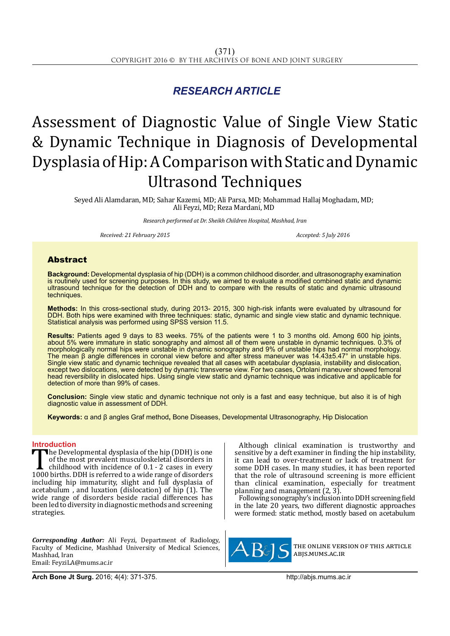## *RESEARCH ARTICLE*

# Assessment of Diagnostic Value of Single View Static & Dynamic Technique in Diagnosis of Developmental Dysplasia of Hip: A Comparison with Static and Dynamic Ultrasond Techniques

Seyed Ali Alamdaran, MD; Sahar Kazemi, MD; Ali Parsa, MD; Mohammad Hallaj Moghadam, MD; Ali Feyzi, MD; Reza Mardani, MD

*Research performed at Dr. Sheikh Children Hospital, Mashhad, Iran*

*Received: 21 February 2015 Accepted: 5 July 2016*

### Abstract

**Background:** Developmental dysplasia of hip (DDH) is a common childhood disorder, and ultrasonography examination is routinely used for screening purposes. In this study, we aimed to evaluate a modified combined static and dynamic ultrasound technique for the detection of DDH and to compare with the results of static and dynamic ultrasound techniques.

**Methods:** In this cross-sectional study, during 2013- 2015, 300 high-risk infants were evaluated by ultrasound for DDH. Both hips were examined with three techniques: static, dynamic and single view static and dynamic technique. Statistical analysis was performed using SPSS version 11.5.

**Results:** Patients aged 9 days to 83 weeks. 75% of the patients were 1 to 3 months old. Among 600 hip joints, about 5% were immature in static sonography and almost all of them were unstable in dynamic techniques. 0.3% of morphologically normal hips were unstable in dynamic sonography and 9% of unstable hips had normal morphology. The mean β angle differences in coronal view before and after stress maneuver was 14.43±5.47° in unstable hips. Single view static and dynamic technique revealed that all cases with acetabular dysplasia, instability and dislocation, except two dislocations, were detected by dynamic transverse view. For two cases, Ortolani maneuver showed femoral head reversibility in dislocated hips. Using single view static and dynamic technique was indicative and applicable for detection of more than 99% of cases.

**Conclusion:** Single view static and dynamic technique not only is a fast and easy technique, but also it is of high diagnostic value in assessment of DDH.

**Keywords:** α and β angles Graf method**,** Bone Diseases, Developmental Ultrasonography, Hip Dislocation

**Introduction**<br>
The Developmental dysplasia of the hip (DDH) is one The Developmental dysplasia of the hip (DDH) is one<br>of the most prevalent musculoskeletal disorders in<br>childhood with incidence of 0.1 - 2 cases in every<br>1000 births. DDH is referred to a wide range of disorders<br>including of the most prevalent musculoskeletal disorders in childhood with incidence of 0.1 - 2 cases in every 1000 births. DDH is referred to a wide range of disorders including hip immaturity, slight and full dysplasia of acetabulum , and luxation (dislocation) of hip (1). The wide range of disorders beside racial differences has been led to diversity in diagnostic methods and screening strategies.

*Corresponding Author:* Ali Feyzi, Department of Radiology, Faculty of Medicine, Mashhad University of Medical Sciences, Mashhad, Iran Email: FeyziLA@mums.ac.ir

Although clinical examination is trustworthy and sensitive by a deft examiner in finding the hip instability, it can lead to over-treatment or lack of treatment for some DDH cases. In many studies, it has been reported that the role of ultrasound screening is more efficient than clinical examination, especially for treatment planning and management (2, 3).

Following sonography's inclusion into DDH screening field in the late 20 years, two different diagnostic approaches were formed: static method, mostly based on acetabulum



the online version of this article abjs.mums.ac.ir

**Arch Bone Jt Surg.** 2016; 4(4): 371-375.http://abjs.mums.ac.ir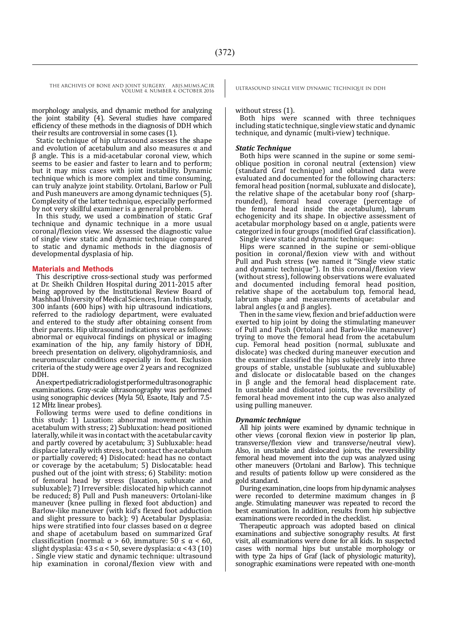THE ARCHIVES OF BONE AND JOINT SURGERY. ABJS.MUMS.AC.IR ULTRASOUND SINGLE VIEW DYNAMIC TECHNIQUE IN DDH VOLUME 4. NUMBER 4. OCTOBER 2016

morphology analysis, and dynamic method for analyzing the joint stability (4). Several studies have compared efficiency of these methods in the diagnosis of DDH which their results are controversial in some cases (1).

Static technique of hip ultrasound assesses the shape and evolution of acetabulum and also measures  $\alpha$  and β angle. This is a mid-acetabular coronal view, which seems to be easier and faster to learn and to perform: but it may miss cases with joint instability. Dynamic technique which is more complex and time consuming, can truly analyze joint stability. Ortolani, Barlow or Pull and Push maneuvers are among dynamic techniques (5). Complexity of the latter technique, especially performed by not very skillful examiner is a general problem.

In this study, we used a combination of static Graf technique and dynamic technique in a more usual coronal/flexion view. We assessed the diagnostic value of single view static and dynamic technique compared to static and dynamic methods in the diagnosis of developmental dysplasia of hip.

#### **Materials and Methods**

This descriptive cross-sectional study was performed at Dr. Sheikh Children Hospital during 2011-2015 after being approved by the Institutional Review Board of Mashhad University of Medical Sciences, Iran. In this study, 300 infants (600 hips) with hip ultrasound indications, referred to the radiology department, were evaluated and entered to the study after obtaining consent from their parents. Hip ultrasound indications were as follows: abnormal or equivocal findings on physical or imaging examination of the hip, any family history of DDH, breech presentation on delivery, oligohydramniosis, and neuromuscular conditions especially in foot. Exclusion criteria of the study were age over 2 years and recognized DDH.

An expert pediatric radiologist performed ultrasonographic examinations. Gray-scale ultrasonography was performed using sonographic devices (Myla 50, Esaote, Italy and 7.5- 12 MHz linear probes).

Following terms were used to define conditions in this study: 1) Luxation: abnormal movement within acetabulum with stress; 2) Subluxation: head positioned laterally, while it was in contact with the acetabular cavity and partly covered by acetabulum; 3) Subluxable: head displace laterally with stress, but contact the acetabulum or partially covered; 4) Dislocated: head has no contact or coverage by the acetabulum; 5) Dislocatable: head pushed out of the joint with stress; 6) Stability: motion of femoral head by stress (laxation, subluxate and subluxable); 7) Irreversible: dislocated hip which cannot be reduced; 8) Pull and Push maneuvers: Ortolani-like maneuver (knee pulling in flexed foot abduction) and Barlow-like maneuver (with kid's flexed foot adduction and slight pressure to back); 9) Acetabular Dysplasia: hips were stratified into four classes based on α degree and shape of acetabulum based on summarized Graf classification (normal:  $\alpha > 60$ , immature:  $50 \le \alpha < 60$ , slight dysplasia:  $43 \le \alpha < 50$ , severe dysplasia:  $\alpha < 43$  (10) . Single view static and dynamic technique: ultrasound hip examination in coronal/flexion view with and

#### without stress (1).

Both hips were scanned with three techniques including static technique, single view static and dynamic technique, and dynamic (multi-view) technique.

#### *Static Technique*

Both hips were scanned in the supine or some semioblique position in coronal neutral (extension) view (standard Graf technique) and obtained data were evaluated and documented for the following characters: femoral head position (normal, subluxate and dislocate), the relative shape of the acetabular bony roof (sharprounded), femoral head coverage (percentage of the femoral head inside the acetabulum), labrum echogenicity and its shape. In objective assessment of acetabular morphology based on  $\alpha$  angle, patients were categorized in four groups (modified Graf classification). Single view static and dynamic technique:

Hips were scanned in the supine or semi-oblique position in coronal/flexion view with and without Pull and Push stress (we named it "Single view static and dynamic technique"). In this coronal/flexion view (without stress), following observations were evaluated and documented including femoral head position, relative shape of the acetabulum top, femoral head, labrum shape and measurements of acetabular and labral angles ( $\alpha$  and  $\beta$  angles).

Then in the same view, flexion and brief adduction were exerted to hip joint by doing the stimulating maneuver of Pull and Push (Ortolani and Barlow-like maneuver) trying to move the femoral head from the acetabulum cup. Femoral head position (normal, subluxate and dislocate) was checked during maneuver execution and the examiner classified the hips subjectively into three groups of stable, unstable (subluxate and subluxable) and dislocate or dislocatable based on the changes in β angle and the femoral head displacement rate. In unstable and dislocated joints, the reversibility of femoral head movement into the cup was also analyzed using pulling maneuver.

#### *Dynamic technique*

All hip joints were examined by dynamic technique in other views (coronal flexion view in posterior lip plan, transverse/flexion view and transverse/neutral view). Also, in unstable and dislocated joints, the reversibility femoral head movement into the cup was analyzed using other maneuvers (Ortolani and Barlow). This technique and results of patients follow up were considered as the gold standard.

During examination, cine loops from hip dynamic analyses were recorded to determine maximum changes in β angle. Stimulating maneuver was repeated to record the best examination. In addition, results from hip subjective examinations were recorded in the checklist.

Therapeutic approach was adopted based on clinical examinations and subjective sonography results. At first visit, all examinations were done for all kids. In suspected cases with normal hips but unstable morphology or with type 2a hips of Graf (lack of physiologic maturity), sonographic examinations were repeated with one-month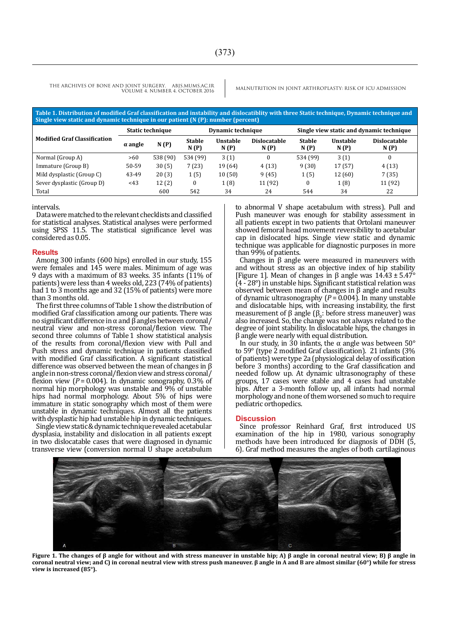THE ARCHIVES OF BONE AND JOINT SURGERY. ABJS.MUMS.AC.IR VOLUME 4. NUMBER 4. OCTOBER 2016

MALNUTRITION IN JOINT ARTHROPLASTY: RISK OF ICU ADMISSION

| Table 1. Distribution of modified Graf classification and instability and dislocatiblity with three Static technique, Dynamic technique and<br>Single view static and dynamic technique in our patient (N (P): number (percent) |                  |          |                       |                  |                      |                                          |                  |                             |
|---------------------------------------------------------------------------------------------------------------------------------------------------------------------------------------------------------------------------------|------------------|----------|-----------------------|------------------|----------------------|------------------------------------------|------------------|-----------------------------|
| <b>Modified Graf Classification</b>                                                                                                                                                                                             | Static technique |          | Dynamic technique     |                  |                      | Single view static and dynamic technique |                  |                             |
|                                                                                                                                                                                                                                 | $\alpha$ angle   | N(P)     | <b>Stable</b><br>N(P) | Unstable<br>N(P) | Dislocatable<br>N(P) | <b>Stable</b><br>N(P)                    | Unstable<br>N(P) | <b>Dislocatable</b><br>N(P) |
| Normal (Group A)                                                                                                                                                                                                                | >60              | 538 (90) | 534 (99)              | 3(1)             |                      | 534 (99)                                 | 3(1)             | 0                           |
| Immature (Group B)                                                                                                                                                                                                              | 50-59            | 30(5)    | 7(23)                 | 19 (64)          | 4(13)                | 9(30)                                    | 17(57)           | 4(13)                       |
| Mild dysplastic (Group C)                                                                                                                                                                                                       | 43-49            | 20(3)    | 1(5)                  | 10(50)           | 9(45)                | 1(5)                                     | 12(60)           | 7(35)                       |
| Sever dysplastic (Group D)                                                                                                                                                                                                      | < 43             | 12(2)    | $\Omega$              | 1(8)             | 11 (92)              | 0                                        | 1(8)             | 11 (92)                     |
| Total                                                                                                                                                                                                                           |                  | 600      | 542                   | 34               | 24                   | 544                                      | 34               | 22                          |

#### intervals.

Data were matched to the relevant checklists and classified for statistical analyses. Statistical analyses were performed using SPSS 11.5. The statistical significance level was considered as 0.05.

#### **Results**

Among 300 infants (600 hips) enrolled in our study, 155 were females and 145 were males. Minimum of age was 9 days with a maximum of 83 weeks. 35 infants (11% of patients) were less than 4 weeks old, 223 (74% of patients) had 1 to 3 months age and 32 (15% of patients) were more than 3 months old.

The first three columns of Table 1 show the distribution of modified Graf classification among our patients. There was no significant difference in α and β angles between coronal/ neutral view and non-stress coronal/flexion view. The second three columns of Table 1 show statistical analysis of the results from coronal/flexion view with Pull and Push stress and dynamic technique in patients classified with modified Graf classification. A significant statistical difference was observed between the mean of changes in β angle in non-stress coronal/flexion view and stress coronal/ flexion view  $(P = 0.004)$ . In dynamic sonography, 0.3% of normal hip morphology was unstable and 9% of unstable hips had normal morphology. About 5% of hips were immature in static sonography which most of them were unstable in dynamic techniques. Almost all the patients with dysplastic hip had unstable hip in dynamic techniques.

Single view static & dynamictechnique revealed acetabular dysplasia, instability and dislocation in all patients except in two dislocatable cases that were diagnosed in dynamic transverse view (conversion normal U shape acetabulum

to abnormal V shape acetabulum with stress). Pull and Push maneuver was enough for stability assessment in all patients except in two patients that Ortolani maneuver showed femoral head movement reversibility to acetabular cap in dislocated hips. Single view static and dynamic technique was applicable for diagnostic purposes in more than 99% of patients.

Changes in β angle were measured in maneuvers with and without stress as an objective index of hip stability [Figure 1]. Mean of changes in β angle was  $14.43 \pm 5.47^{\circ}$ (4 - 28°) in unstable hips. Significant statistical relation was observed between mean of changes in β angle and results of dynamic ultrasonography (*P* = 0.004). In many unstable and dislocatable hips, with increasing instability, the first measurement of β angle  $(\beta_0:$  before stress maneuver) was also increased. So, the change was not always related to the degree of joint stability. In dislocatable hips, the changes in β angle were nearly with equal distribution.

In our study, in 30 infants, the α angle was between  $50^{\circ}$ to 59° (type 2 modified Graf classification). 21 infants (3% of patients) were type 2a (physiological delay of ossification before 3 months) according to the Graf classification and needed follow up. At dynamic ultrasonography of these groups, 17 cases were stable and 4 cases had unstable hips. After a 3-month follow up, all infants had normal morphology and none of them worsened so much to require pediatric orthopedics.

#### **Discussion**

Since professor Reinhard Graf, first introduced US examination of the hip in 1980, various sonography methods have been introduced for diagnosis of DDH (5, 6). Graf method measures the angles of both cartilaginous



**Figure 1. The changes of β angle for without and with stress maneuver in unstable hip; A) β angle in coronal neutral view; B) β angle in coronal neutral view; and C) in coronal neutral view with stress push maneuver. β angle in A and B are almost similar (60°) while for stress view is increased (85°).**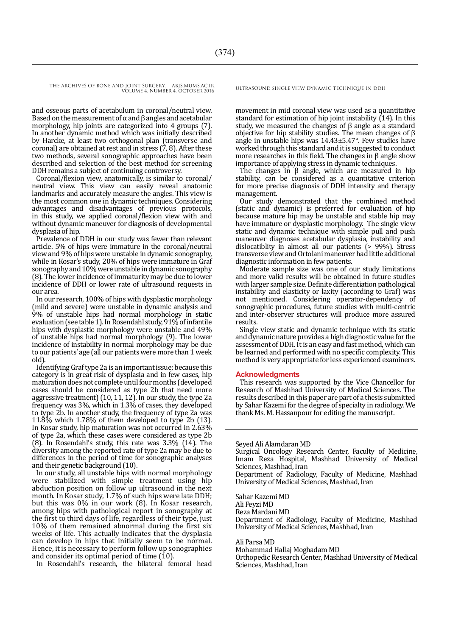THE ARCHIVES OF BONE AND JOINT SURGERY. ABJS.MUMS.AC.IR ULTRASOUND SINGLE VIEW DYNAMIC TECHNIQUE IN DDH VOLUME 4. NUMBER 4. OCTOBER 2016

and osseous parts of acetabulum in coronal/neutral view. Based on the measurement of  $\alpha$  and  $\beta$  angles and acetabular morphology, hip joints are categorized into 4 groups (7). In another dynamic method which was initially described by Harcke, at least two orthogonal plan (transverse and coronal) are obtained at rest and in stress  $(7, 8)$ . After these two methods, several sonographic approaches have been described and selection of the best method for screening DDH remains a subject of continuing controversy.

Coronal/flexion view, anatomically, is similar to coronal/ neutral view. This view can easily reveal anatomic landmarks and accurately measure the angles. This view is the most common one in dynamic techniques. Considering advantages and disadvantages of previous protocols, in this study, we applied coronal/flexion view with and without dynamic maneuver for diagnosis of developmental dysplasia of hip.

Prevalence of DDH in our study was fewer than relevant article. 5% of hips were immature in the coronal/neutral view and 9% of hips were unstable in dynamic sonography, while in Kosar's study, 20% of hips were immature in Graf sonography and 10% were unstable in dynamic sonography (8). The lower incidence of immaturity may be due to lower incidence of DDH or lower rate of ultrasound requests in our area.

In our research, 100% of hips with dysplastic morphology (mild and severe) were unstable in dynamic analysis and 9% of unstable hips had normal morphology in static evaluation (see table 1). In Rosendahl study, 91% of infantile hips with dysplastic morphology were unstable and 49% of unstable hips had normal morphology (9). The lower incidence of instability in normal morphology may be due to our patients' age (all our patients were more than 1 week old).

Identifying Graf type 2a is an important issue; because this category is in great risk of dysplasia and in few cases, hip maturation does not complete until four months (developed cases should be considered as type 2b that need more aggressive treatment) (10, 11, 12). In our study, the type 2a frequency was 3%, which in 1.3% of cases, they developed to type 2b. In another study, the frequency of type 2a was  $11.\overline{8\%}$  which 1.78% of them developed to type 2b (13). In Kosar study, hip maturation was not occurred in 2.63% of type 2a, which these cases were considered as type 2b  $(8)$ . In Rosendahl's study, this rate was  $3.3\%$   $(14)$ . The diversity among the reported rate of type 2a may be due to differences in the period of time for sonographic analyses and their genetic background (10).

In our study, all unstable hips with normal morphology were stabilized with simple treatment using hip abduction position on follow up ultrasound in the next month. In Kosar study, 1.7% of such hips were late DDH; but this was 0% in our work (8). In Kosar research, among hips with pathological report in sonography at the first to third days of life, regardless of their type, just 10% of them remained abnormal during the first six weeks of life. This actually indicates that the dysplasia can develop in hips that initially seem to be normal. Hence, it is necessary to perform follow up sonographies and consider its optimal period of time (10).

In Rosendahl's research, the bilateral femoral head

movement in mid coronal view was used as a quantitative standard for estimation of hip joint instability (14). In this study, we measured the changes of β angle as a standard objective for hip stability studies. The mean changes of β angle in unstable hips was 14.43±5.47°. Few studies have worked through this standard and it is suggested to conduct more researches in this field. The changes in  $\beta$  angle show importance of applying stress in dynamic techniques.

The changes in  $\beta$  angle, which are measured in hip stability, can be considered as a quantitative criterion for more precise diagnosis of DDH intensity and therapy management.

Our study demonstrated that the combined method (static and dynamic) is preferred for evaluation of hip because mature hip may be unstable and stable hip may have immature or dysplastic morphology. The single view static and dynamic technique with simple pull and push maneuver diagnoses acetabular dysplasia, instability and dislocatiblity in almost all our patients (> 99%). Stress transverse view and Ortolani maneuver had little additional diagnostic information in few patients.

Moderate sample size was one of our study limitations and more valid results will be obtained in future studies with larger sample size. Definite differentiation pathological instability and elasticity or laxity (according to Graf) was not mentioned. Considering operator-dependency of sonographic procedures, future studies with multi-centric and inter-observer structures will produce more assured results.

Single view static and dynamic technique with its static and dynamic nature provides a high diagnostic value for the assessment of DDH. It is an easy and fast method, which can be learned and performed with no specific complexity. This method is very appropriate for less experienced examiners.

#### **Acknowledgments**

This research was supported by the Vice Chancellor for Research of Mashhad University of Medical Sciences. The results described in this paper are part of a thesis submitted by Sahar Kazemi for the degree of specialty in radiology. We thank Ms. M. Hassanpour for editing the manuscript.

#### Seyed Ali Alamdaran MD

Surgical Oncology Research Center, Faculty of Medicine, Imam Reza Hospital, Mashhad University of Medical Sciences, Mashhad, Iran

Department of Radiology, Faculty of Medicine, Mashhad University of Medical Sciences, Mashhad, Iran

Sahar Kazemi MD Ali Feyzi MD Reza Mardani MD Department of Radiology, Faculty of Medicine, Mashhad University of Medical Sciences, Mashhad, Iran

Ali Parsa MD

Mohammad Hallaj Moghadam MD Orthopedic Research Center, Mashhad University of Medical Sciences, Mashhad, Iran